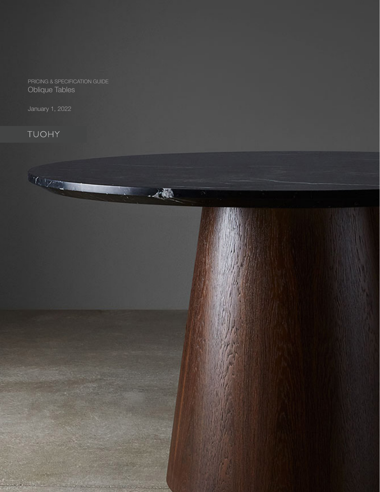PRICING & SPECIFICATION GUIDE Oblique Tables

January 1, 2022

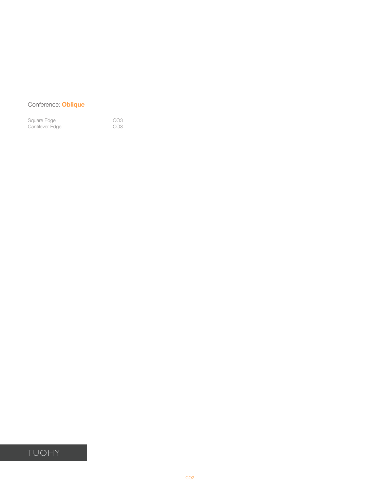## Conference: **Oblique**

| Square Edge     | CO <sub>3</sub> |
|-----------------|-----------------|
| Cantilever Edge | CO <sub>3</sub> |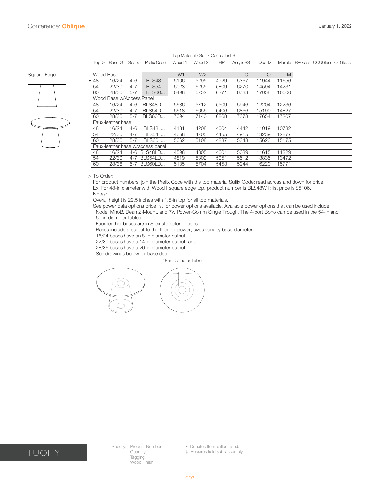<span id="page-2-0"></span>

|             |                          | $Top \oslash$ Base $\oslash$ | Seats   | Prefix Code                      | Wood 1 | Wood 2 | <b>HPL</b> | AcrylicSS | Quartz     | Marble | <b>BPGlass OCUGlass OLGlass</b> |
|-------------|--------------------------|------------------------------|---------|----------------------------------|--------|--------|------------|-----------|------------|--------|---------------------------------|
| Square Edge |                          | Wood Base                    |         |                                  | W1     | W2     | …∟         | $\dots C$ | $\ldots Q$ | M      |                                 |
|             | •48                      | 16/24                        | $4-6$   | <b>BLS48</b>                     | 5106   | 5295   | 4929       | 5367      | 11944      | 11656  |                                 |
|             | 54                       | 22/30                        | $4 - 7$ | <b>BLS54</b>                     | 6023   | 6255   | 5809       | 6270      | 14594      | 14231  |                                 |
|             | 60                       | 28/36                        | $5 - 7$ | <b>BLS60</b>                     | 6498   | 6752   | 6271       | 6783      | 17058      | 16606  |                                 |
|             | Wood Base w/Access Panel |                              |         |                                  |        |        |            |           |            |        |                                 |
|             | 48                       | 16/24                        | 4-6     | <b>BLS48D</b>                    | 5686   | 5712   | 5509       | 5946      | 12204      | 12236  |                                 |
|             | 54                       | 22/30                        | $4 - 7$ | <b>BLS54D</b>                    | 6618   | 6656   | 6406       | 6866      | 15190      | 14827  |                                 |
|             | 60                       | 28/36                        | $5-7$   | <b>BLS60D</b>                    | 7094   | 7140   | 6868       | 7378      | 17654      | 17207  |                                 |
|             | Faux-leather base        |                              |         |                                  |        |        |            |           |            |        |                                 |
|             | 48                       | 16/24                        | $4-6$   | <b>BLS48L</b>                    | 4181   | 4208   | 4004       | 4442      | 11019      | 10732  |                                 |
|             | 54                       | 22/30                        | $4 - 7$ | <b>BLS54L</b>                    | 4668   | 4705   | 4455       | 4915      | 13239      | 12877  |                                 |
|             | 60                       | 28/36                        | $5 - 7$ | <b>BLS60L</b>                    | 5062   | 5108   | 4837       | 5348      | 15623      | 15175  |                                 |
|             |                          |                              |         | Faux-leather base w/access panel |        |        |            |           |            |        |                                 |
|             | 48                       | 16/24                        |         | 4-6 BLS48LD                      | 4598   | 4805   | 4601       | 5039      | 11615      | 11329  |                                 |
|             | 54                       | 22/30                        |         | 4-7 BLS54LD                      | 4819   | 5302   | 5051       | 5512      | 13835      | 13472  |                                 |
|             | 60                       | 28/36                        | $5 - 7$ | BLS60LD                          | 5185   | 5704   | 5453       | 5944      | 16220      | 15771  |                                 |

#### Top Material / Suffix Code / List \$

> To Order:

For product numbers, join the Prefix Code with the top material Suffix Code; read across and down for price. Ex: For 48-in diameter with Wood1 square edge top, product number is BLS48W1; list price is \$5106.

! Notes:

Overall height is 29.5 inches with 1.5-in top for all top materials.

See power data options price list for power options available. Available power options that can be used include Node, MhoB, Dean Z-Mount, and 7w Power-Comm Single Trough. The 4-port Boho can be used in the 54-in and 60-in diameter tables.

Faux leather bases are in Silex std color options

Bases include a cutout to the floor for power; sizes vary by base diameter:

16/24 bases have an 8-in diameter cutout;

22/30 bases have a 14-in diameter cutout; and

28/36 bases have a 20-in diameter cutout.

See drawings below for base detail.

48-in Diameter Table





Specify: Product Number Quantity Tagging Wood Finish

‡ Requires field sub-assembly.

<sup>•</sup> Denotes Item is illustrated.